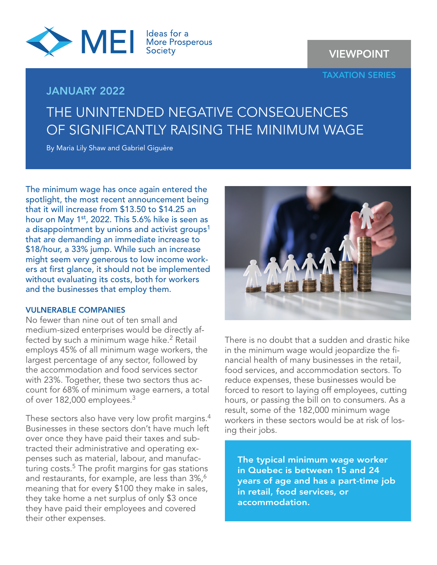

VIEWPOINT

TAXATION SERIES

## JANUARY 2022

# THE UNINTENDED NEGATIVE CONSEQUENCES OF SIGNIFICANTLY RAISING THE MINIMUM WAGE

By Maria Lily Shaw and Gabriel Giguère

The minimum wage has once again entered the spotlight, the most recent announcement being that it will increase from \$13.50 to \$14.25 an hour on May 1<sup>st</sup>, 2022. This 5.6% hike is seen as a disappointment by unions and activist groups<sup>1</sup> that are demanding an immediate increase to \$18/hour, a 33% jump. While such an increase might seem very generous to low income workers at first glance, it should not be implemented without evaluating its costs, both for workers and the businesses that employ them.

## VULNERABLE COMPANIES

No fewer than nine out of ten small and medium-sized enterprises would be directly affected by such a minimum wage hike.<sup>2</sup> Retail employs 45% of all minimum wage workers, the largest percentage of any sector, followed by the accommodation and food services sector with 23%. Together, these two sectors thus account for 68% of minimum wage earners, a total of over 182,000 employees.<sup>3</sup>

These sectors also have very low profit margins.<sup>4</sup> Businesses in these sectors don't have much left over once they have paid their taxes and subtracted their administrative and operating expenses such as material, labour, and manufacturing costs. $5$  The profit margins for gas stations and restaurants, for example, are less than 3%,<sup>6</sup> meaning that for every \$100 they make in sales, they take home a net surplus of only \$3 once they have paid their employees and covered their other expenses.



There is no doubt that a sudden and drastic hike in the minimum wage would jeopardize the financial health of many businesses in the retail, food services, and accommodation sectors. To reduce expenses, these businesses would be forced to resort to laying off employees, cutting hours, or passing the bill on to consumers. As a result, some of the 182,000 minimum wage workers in these sectors would be at risk of losing their jobs.

The typical minimum wage worker in Quebec is between 15 and 24 years of age and has a part-time job in retail, food services, or accommodation.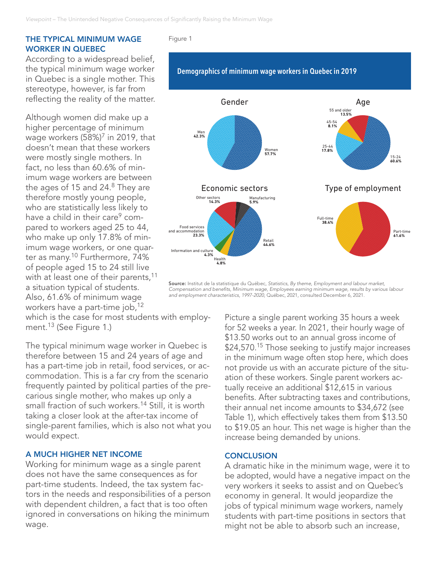### THE TYPICAL MINIMUM WAGE WORKER IN QUEBEC

According to a widespread belief, the typical minimum wage worker in Quebec is a single mother. This stereotype, however, is far from reflecting the reality of the matter.

Although women did make up a higher percentage of minimum wage workers  $(58\%)^7$  in 2019, that doesn't mean that these workers were mostly single mothers. In fact, no less than 60.6% of minimum wage workers are between the ages of 15 and  $24<sup>8</sup>$  They are therefore mostly young people, who are statistically less likely to have a child in their care<sup>9</sup> compared to workers aged 25 to 44, who make up only 17.8% of minimum wage workers, or one quarter as many.<sup>10</sup> Furthermore, 74% of people aged 15 to 24 still live with at least one of their parents,<sup>11</sup> a situation typical of students. Also, 61.6% of minimum wage workers have a part-time job,<sup>12</sup>

which is the case for most students with employment.<sup>13</sup> (See Figure 1.)

The typical minimum wage worker in Quebec is therefore between 15 and 24 years of age and has a part-time job in retail, food services, or accommodation. This is a far cry from the scenario frequently painted by political parties of the precarious single mother, who makes up only a small fraction of such workers.<sup>14</sup> Still, it is worth taking a closer look at the after-tax income of single-parent families, which is also not what you would expect.

#### A MUCH HIGHER NET INCOME

Working for minimum wage as a single parent does not have the same consequences as for part-time students. Indeed, the tax system factors in the needs and responsibilities of a person with dependent children, a fact that is too often ignored in conversations on hiking the minimum wage.

#### Figure 1



Source: Institut de la statistique du Québec, *Statistics, By theme, Employment and labour market, Compensation and benefits, Minimum wage, Employees earning minimum wage, results by various labour and employment characteristics, 1997-2020*, Québec, 2021, consulted December 6, 2021.

> Picture a single parent working 35 hours a week for 52 weeks a year. In 2021, their hourly wage of \$13.50 works out to an annual gross income of \$24,570.<sup>15</sup> Those seeking to justify major increases in the minimum wage often stop here, which does not provide us with an accurate picture of the situation of these workers. Single parent workers actually receive an additional \$12,615 in various benefits. After subtracting taxes and contributions, their annual net income amounts to \$34,672 (see Table 1), which effectively takes them from \$13.50 to \$19.05 an hour. This net wage is higher than the increase being demanded by unions.

#### **CONCLUSION**

A dramatic hike in the minimum wage, were it to be adopted, would have a negative impact on the very workers it seeks to assist and on Quebec's economy in general. It would jeopardize the jobs of typical minimum wage workers, namely students with part-time positions in sectors that might not be able to absorb such an increase,

## Demographics of minimum wage workers in Quebec in 2019